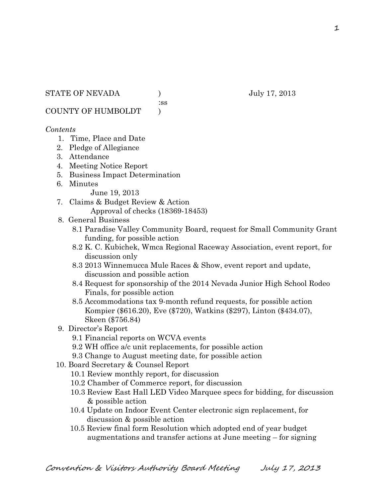:ss

COUNTY OF HUMBOLDT )

#### *Contents*

- 1. Time, Place and Date
- 2. Pledge of Allegiance
- 3. Attendance
- 4. Meeting Notice Report
- 5. Business Impact Determination
- 6. Minutes

June 19, 2013

- 7. Claims & Budget Review & Action Approval of checks (18369-18453)
- 8. General Business
	- 8.1 Paradise Valley Community Board, request for Small Community Grant funding, for possible action
	- 8.2 K. C. Kubichek, Wmca Regional Raceway Association, event report, for discussion only
	- 8.3 2013 Winnemucca Mule Races & Show, event report and update, discussion and possible action
	- 8.4 Request for sponsorship of the 2014 Nevada Junior High School Rodeo Finals, for possible action
	- 8.5 Accommodations tax 9-month refund requests, for possible action Kompier (\$616.20), Eve (\$720), Watkins (\$297), Linton (\$434.07), Skeen (\$756.84)
- 9. Director's Report
	- 9.1 Financial reports on WCVA events
	- 9.2 WH office a/c unit replacements, for possible action
	- 9.3 Change to August meeting date, for possible action
- 10. Board Secretary & Counsel Report
	- 10.1 Review monthly report, for discussion
	- 10.2 Chamber of Commerce report, for discussion
	- 10.3 Review East Hall LED Video Marquee specs for bidding, for discussion & possible action
	- 10.4 Update on Indoor Event Center electronic sign replacement, for discussion & possible action
	- 10.5 Review final form Resolution which adopted end of year budget augmentations and transfer actions at June meeting – for signing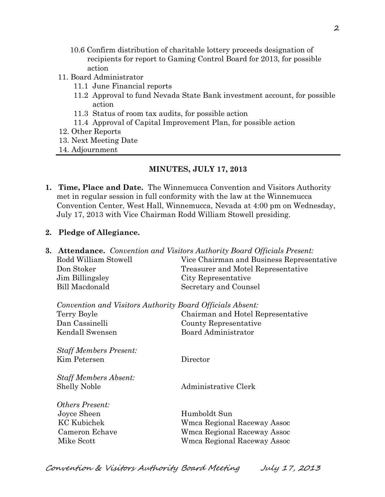- 10.6 Confirm distribution of charitable lottery proceeds designation of recipients for report to Gaming Control Board for 2013, for possible action
- 11. Board Administrator
	- 11.1 June Financial reports
	- 11.2 Approval to fund Nevada State Bank investment account, for possible action
	- 11.3 Status of room tax audits, for possible action
	- 11.4 Approval of Capital Improvement Plan, for possible action
- 12. Other Reports
- 13. Next Meeting Date
- 14. Adjournment

## **MINUTES, JULY 17, 2013**

- **1. Time, Place and Date.** The Winnemucca Convention and Visitors Authority met in regular session in full conformity with the law at the Winnemucca Convention Center, West Hall, Winnemucca, Nevada at 4:00 pm on Wednesday, July 17, 2013 with Vice Chairman Rodd William Stowell presiding.
- **2. Pledge of Allegiance.**

| 3. | <b>Attendance.</b> Convention and Visitors Authority Board Officials Present: |                                           |  |
|----|-------------------------------------------------------------------------------|-------------------------------------------|--|
|    | Rodd William Stowell                                                          | Vice Chairman and Business Representative |  |
|    | Don Stoker                                                                    | Treasurer and Motel Representative        |  |
|    | Jim Billingsley                                                               | City Representative                       |  |
|    | <b>Bill Macdonald</b>                                                         | Secretary and Counsel                     |  |
|    | Convention and Visitors Authority Board Officials Absent:                     |                                           |  |
|    | Terry Boyle                                                                   | Chairman and Hotel Representative         |  |
|    | Dan Cassinelli                                                                | County Representative                     |  |
|    | Kendall Swensen                                                               | <b>Board Administrator</b>                |  |
|    | <b>Staff Members Present:</b>                                                 |                                           |  |
|    | Kim Petersen                                                                  | Director                                  |  |
|    | <b>Staff Members Absent:</b>                                                  |                                           |  |
|    | <b>Shelly Noble</b>                                                           | Administrative Clerk                      |  |
|    | <i><b>Others Present:</b></i>                                                 |                                           |  |
|    | Joyce Sheen                                                                   | Humboldt Sun                              |  |
|    | <b>KC</b> Kubichek                                                            | Wmca Regional Raceway Assoc               |  |
|    | Cameron Echave                                                                | Wmca Regional Raceway Assoc               |  |
|    | Mike Scott                                                                    | Wmca Regional Raceway Assoc               |  |
|    |                                                                               |                                           |  |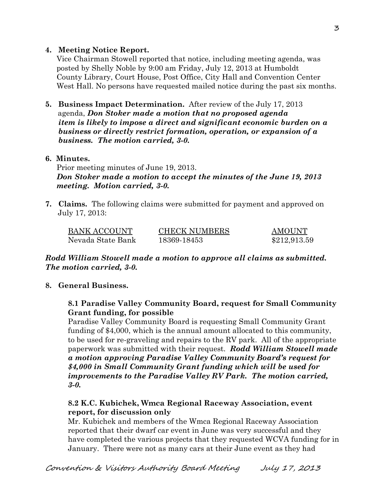## **4. Meeting Notice Report.**

Vice Chairman Stowell reported that notice, including meeting agenda, was posted by Shelly Noble by 9:00 am Friday, July 12, 2013 at Humboldt County Library, Court House, Post Office, City Hall and Convention Center West Hall. No persons have requested mailed notice during the past six months.

**5. Business Impact Determination.** After review of the July 17, 2013 agenda, *Don Stoker made a motion that no proposed agenda item is likely to impose a direct and significant economic burden on a business or directly restrict formation, operation, or expansion of a business. The motion carried, 3-0.* 

### **6. Minutes.**

Prior meeting minutes of June 19, 2013. *Don Stoker made a motion to accept the minutes of the June 19, 2013 meeting. Motion carried, 3-0.* 

**7. Claims.** The following claims were submitted for payment and approved on July 17, 2013:

| BANK ACCOUNT      | <b>CHECK NUMBERS</b> | AMOUNT       |
|-------------------|----------------------|--------------|
| Nevada State Bank | 18369-18453          | \$212,913.59 |

### *Rodd William Stowell made a motion to approve all claims as submitted. The motion carried, 3-0.*

### **8. General Business.**

## **8.1 Paradise Valley Community Board, request for Small Community Grant funding, for possible**

 Paradise Valley Community Board is requesting Small Community Grant funding of \$4,000, which is the annual amount allocated to this community, to be used for re-graveling and repairs to the RV park. All of the appropriate paperwork was submitted with their request. *Rodd William Stowell made a motion approving Paradise Valley Community Board's request for \$4,000 in Small Community Grant funding which will be used for improvements to the Paradise Valley RV Park. The motion carried, 3-0.* 

### **8.2 K.C. Kubichek, Wmca Regional Raceway Association, event report, for discussion only**

Mr. Kubichek and members of the Wmca Regional Raceway Association reported that their dwarf car event in June was very successful and they have completed the various projects that they requested WCVA funding for in January. There were not as many cars at their June event as they had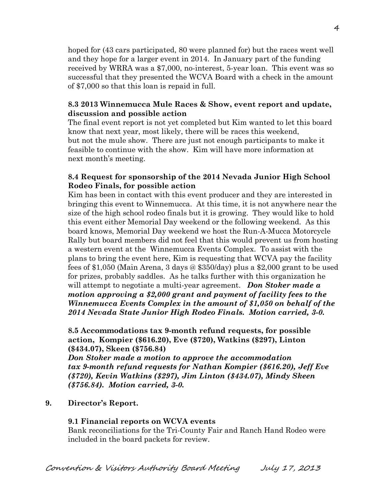hoped for (43 cars participated, 80 were planned for) but the races went well and they hope for a larger event in 2014. In January part of the funding received by WRRA was a \$7,000, no-interest, 5-year loan. This event was so successful that they presented the WCVA Board with a check in the amount of \$7,000 so that this loan is repaid in full.

## **8.3 2013 Winnemucca Mule Races & Show, event report and update, discussion and possible action**

The final event report is not yet completed but Kim wanted to let this board know that next year, most likely, there will be races this weekend, but not the mule show. There are just not enough participants to make it feasible to continue with the show. Kim will have more information at next month's meeting.

## **8.4 Request for sponsorship of the 2014 Nevada Junior High School Rodeo Finals, for possible action**

Kim has been in contact with this event producer and they are interested in bringing this event to Winnemucca. At this time, it is not anywhere near the size of the high school rodeo finals but it is growing. They would like to hold this event either Memorial Day weekend or the following weekend. As this board knows, Memorial Day weekend we host the Run-A-Mucca Motorcycle Rally but board members did not feel that this would prevent us from hosting a western event at the Winnemucca Events Complex. To assist with the plans to bring the event here, Kim is requesting that WCVA pay the facility fees of \$1,050 (Main Arena, 3 days @ \$350/day) plus a \$2,000 grant to be used for prizes, probably saddles. As he talks further with this organization he will attempt to negotiate a multi-year agreement. *Don Stoker made a motion approving a \$2,000 grant and payment of facility fees to the Winnemucca Events Complex in the amount of \$1,050 on behalf of the 2014 Nevada State Junior High Rodeo Finals. Motion carried, 3-0.* 

### **8.5 Accommodations tax 9-month refund requests, for possible action, Kompier (\$616.20), Eve (\$720), Watkins (\$297), Linton (\$434.07), Skeen (\$756.84)**

*Don Stoker made a motion to approve the accommodation tax 9-month refund requests for Nathan Kompier (\$616.20), Jeff Eve (\$720), Kevin Watkins (\$297), Jim Linton (\$434.07), Mindy Skeen (\$756.84). Motion carried, 3-0.* 

# **9. Director's Report.**

# **9.1 Financial reports on WCVA events**

Bank reconciliations for the Tri-County Fair and Ranch Hand Rodeo were included in the board packets for review.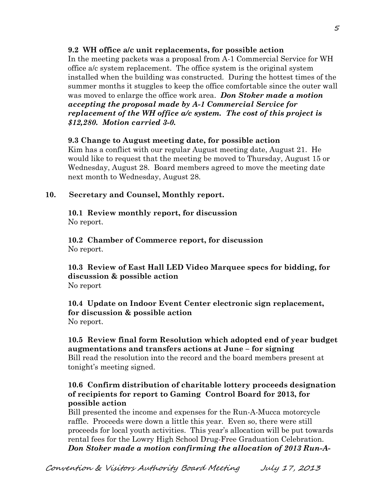## **9.2 WH office a/c unit replacements, for possible action**

In the meeting packets was a proposal from A-1 Commercial Service for WH office a/c system replacement. The office system is the original system installed when the building was constructed. During the hottest times of the summer months it stuggles to keep the office comfortable since the outer wall was moved to enlarge the office work area. *Don Stoker made a motion accepting the proposal made by A-1 Commercial Service for replacement of the WH office a/c system. The cost of this project is \$12,280. Motion carried 3-0.* 

#### **9.3 Change to August meeting date, for possible action**

Kim has a conflict with our regular August meeting date, August 21. He would like to request that the meeting be moved to Thursday, August 15 or Wednesday, August 28. Board members agreed to move the meeting date next month to Wednesday, August 28.

### **10. Secretary and Counsel, Monthly report.**

**10.1 Review monthly report, for discussion** No report.

**10.2 Chamber of Commerce report, for discussion** No report.

**10.3 Review of East Hall LED Video Marquee specs for bidding, for discussion & possible action** No report

**10.4 Update on Indoor Event Center electronic sign replacement, for discussion & possible action** No report.

#### **10.5 Review final form Resolution which adopted end of year budget augmentations and transfers actions at June – for signing** Bill read the resolution into the record and the board members present at tonight's meeting signed.

# **10.6 Confirm distribution of charitable lottery proceeds designation of recipients for report to Gaming Control Board for 2013, for possible action**

Bill presented the income and expenses for the Run-A-Mucca motorcycle raffle. Proceeds were down a little this year. Even so, there were still proceeds for local youth activities. This year's allocation will be put towards rental fees for the Lowry High School Drug-Free Graduation Celebration. *Don Stoker made a motion confirming the allocation of 2013 Run-A-*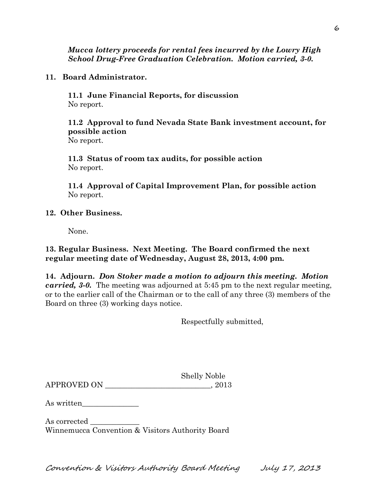*Mucca lottery proceeds for rental fees incurred by the Lowry High School Drug-Free Graduation Celebration. Motion carried, 3-0.* 

# **11. Board Administrator.**

**11.1 June Financial Reports, for discussion** No report.

**11.2 Approval to fund Nevada State Bank investment account, for possible action** No report.

**11.3 Status of room tax audits, for possible action** No report.

**11.4 Approval of Capital Improvement Plan, for possible action** No report.

## **12. Other Business.**

None.

## **13. Regular Business. Next Meeting. The Board confirmed the next regular meeting date of Wednesday, August 28, 2013, 4:00 pm.**

**14. Adjourn.** *Don Stoker made a motion to adjourn this meeting. Motion carried, 3-0.* The meeting was adjourned at 5:45 pm to the next regular meeting, or to the earlier call of the Chairman or to the call of any three (3) members of the Board on three (3) working days notice.

Respectfully submitted,

|                    | <b>Shelly Noble</b> |
|--------------------|---------------------|
| <b>APPROVED ON</b> | 2013                |

As written\_\_\_\_\_\_\_\_\_\_\_\_\_\_\_

As corrected Winnemucca Convention & Visitors Authority Board